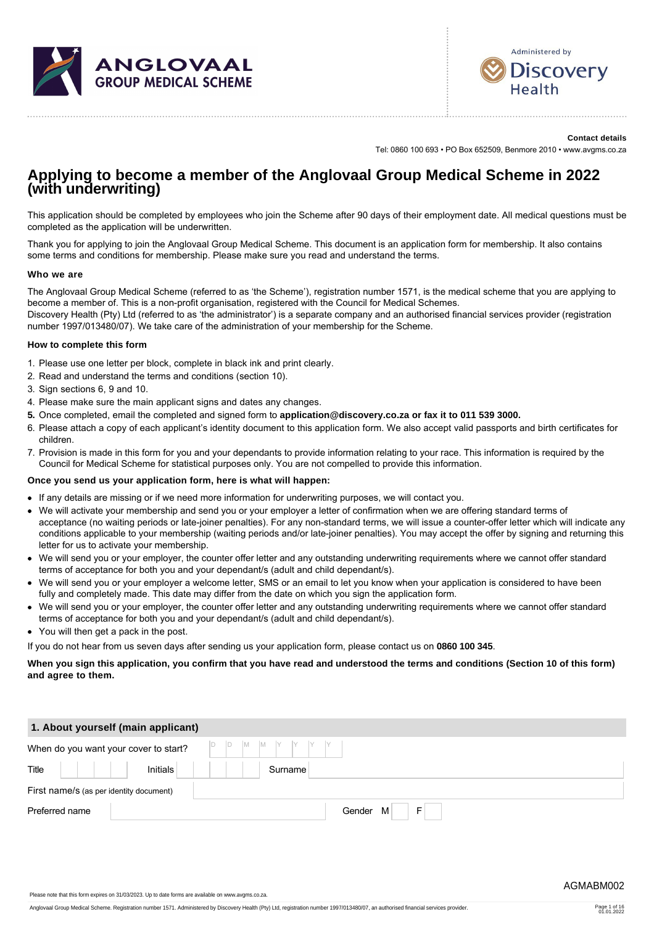



**Contact details**

Tel: 0860 100 693 • PO Box 652509, Benmore 2010 • www.avgms.co.za

# **Applying to become a member of the Anglovaal Group Medical Scheme in 2022 (with underwriting)**

This application should be completed by employees who join the Scheme after 90 days of their employment date. All medical questions must be completed as the application will be underwritten.

Thank you for applying to join the Anglovaal Group Medical Scheme. This document is an application form for membership. It also contains some terms and conditions for membership. Please make sure you read and understand the terms.

#### **Who we are**

The Anglovaal Group Medical Scheme (referred to as 'the Scheme'), registration number 1571, is the medical scheme that you are applying to become a member of. This is a non-profit organisation, registered with the Council for Medical Schemes.

Discovery Health (Pty) Ltd (referred to as 'the administrator') is a separate company and an authorised financial services provider (registration number 1997/013480/07). We take care of the administration of your membership for the Scheme.

#### **How to complete this form**

- 1. Please use one letter per block, complete in black ink and print clearly.
- 2. Read and understand the terms and conditions (section 10).
- 3. Sign sections 6, 9 and 10.
- 4. Please make sure the main applicant signs and dates any changes.
- **5.** Once completed, email the completed and signed form to **application@discovery.co.za or fax it to 011 539 3000.**
- 6. Please attach a copy of each applicant's identity document to this application form. We also accept valid passports and birth certificates for children.
- 7. Provision is made in this form for you and your dependants to provide information relating to your race. This information is required by the Council for Medical Scheme for statistical purposes only. You are not compelled to provide this information.

#### **Once you send us your application form, here is what will happen:**

- If any details are missing or if we need more information for underwriting purposes, we will contact you.
- We will activate your membership and send you or your employer a letter of confirmation when we are offering standard terms of acceptance (no waiting periods or late-joiner penalties). For any non-standard terms, we will issue a counter-offer letter which will indicate any conditions applicable to your membership (waiting periods and/or late-joiner penalties). You may accept the offer by signing and returning this letter for us to activate your membership.
- We will send you or your employer, the counter offer letter and any outstanding underwriting requirements where we cannot offer standard terms of acceptance for both you and your dependant/s (adult and child dependant/s).
- We will send you or your employer a welcome letter, SMS or an email to let you know when your application is considered to have been fully and completely made. This date may differ from the date on which you sign the application form.
- We will send you or your employer, the counter offer letter and any outstanding underwriting requirements where we cannot offer standard terms of acceptance for both you and your dependant/s (adult and child dependant/s).
- You will then get a pack in the post.

If you do not hear from us seven days after sending us your application form, please contact us on **0860 100 345**.

**When you sign this application, you confirm that you have read and understood the terms and conditions (Section 10 of this form) and agree to them.**

| 1. About yourself (main applicant)      |                   |
|-----------------------------------------|-------------------|
| When do you want your cover to start?   | $D$ $D$           |
| Title<br>Initials                       | Surname           |
| First name/s (as per identity document) |                   |
| Preferred name                          | F.<br>M<br>Gender |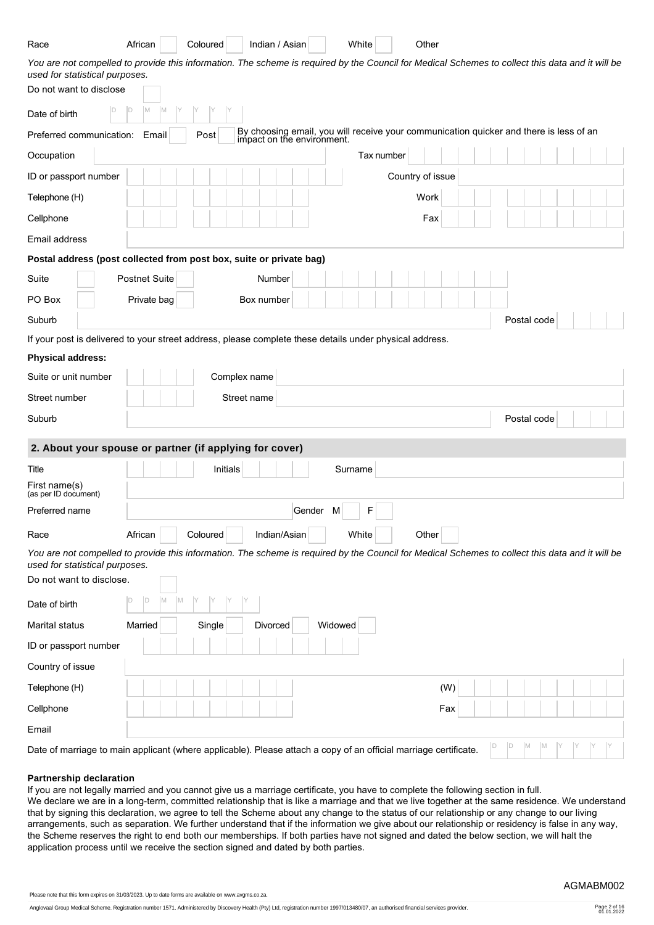| African<br>Coloured<br>Indian / Asian<br>White<br>Other<br>Race                                                                                                                    |                   |
|------------------------------------------------------------------------------------------------------------------------------------------------------------------------------------|-------------------|
| You are not compelled to provide this information. The scheme is required by the Council for Medical Schemes to collect this data and it will be<br>used for statistical purposes. |                   |
| Do not want to disclose                                                                                                                                                            |                   |
| D <br>M<br>IM<br>ID.<br>Date of birth                                                                                                                                              |                   |
| By choosing email, you will receive your communication quicker and there is less of an impact on the environment.<br>Preferred communication:<br>Email<br>Post                     |                   |
| Occupation<br>Tax number                                                                                                                                                           |                   |
| ID or passport number<br>Country of issue                                                                                                                                          |                   |
| Work<br>Telephone (H)                                                                                                                                                              |                   |
| Cellphone                                                                                                                                                                          | Fax               |
| Email address                                                                                                                                                                      |                   |
| Postal address (post collected from post box, suite or private bag)                                                                                                                |                   |
| Suite<br><b>Postnet Suite</b><br>Number                                                                                                                                            |                   |
| PO Box<br>Private bag<br>Box number                                                                                                                                                |                   |
| Suburb                                                                                                                                                                             | Postal code       |
| If your post is delivered to your street address, please complete these details under physical address.                                                                            |                   |
| <b>Physical address:</b>                                                                                                                                                           |                   |
| Suite or unit number<br>Complex name                                                                                                                                               |                   |
| Street number<br>Street name                                                                                                                                                       |                   |
| Suburb                                                                                                                                                                             | Postal code       |
| 2. About your spouse or partner (if applying for cover)                                                                                                                            |                   |
| Title<br>Initials<br>Surname                                                                                                                                                       |                   |
| First name(s)<br>(as per ID document)                                                                                                                                              |                   |
| F <br>Gender M<br>Preferred name                                                                                                                                                   |                   |
| White<br>African<br>Coloured<br>Indian/Asian<br>Other<br>Race                                                                                                                      |                   |
| You are not compelled to provide this information. The scheme is required by the Council for Medical Schemes to collect this data and it will be                                   |                   |
| used for statistical purposes.<br>Do not want to disclose.                                                                                                                         |                   |
| ID<br>D<br>Date of birth                                                                                                                                                           |                   |
|                                                                                                                                                                                    |                   |
| Widowed<br>Married<br>Single<br>Divorced<br>Marital status                                                                                                                         |                   |
| ID or passport number                                                                                                                                                              |                   |
| Country of issue                                                                                                                                                                   |                   |
| Telephone (H)                                                                                                                                                                      | (W)               |
| Cellphone                                                                                                                                                                          | Fax               |
| Email                                                                                                                                                                              |                   |
| Date of marriage to main applicant (where applicable). Please attach a copy of an official marriage certificate                                                                    | D<br>M<br>ID<br>M |

Date of marriage to main applicant (where applicable). Please attach a copy of an official marriage certificate.

#### **Partnership declaration**

If you are not legally married and you cannot give us a marriage certificate, you have to complete the following section in full. We declare we are in a long-term, committed relationship that is like a marriage and that we live together at the same residence. We understand that by signing this declaration, we agree to tell the Scheme about any change to the status of our relationship or any change to our living arrangements, such as separation. We further understand that if the information we give about our relationship or residency is false in any way, the Scheme reserves the right to end both our memberships. If both parties have not signed and dated the below section, we will halt the application process until we receive the section signed and dated by both parties.

Please note that this form expires on 31/03/2023. Up to date forms are available on www.avgms.co.za.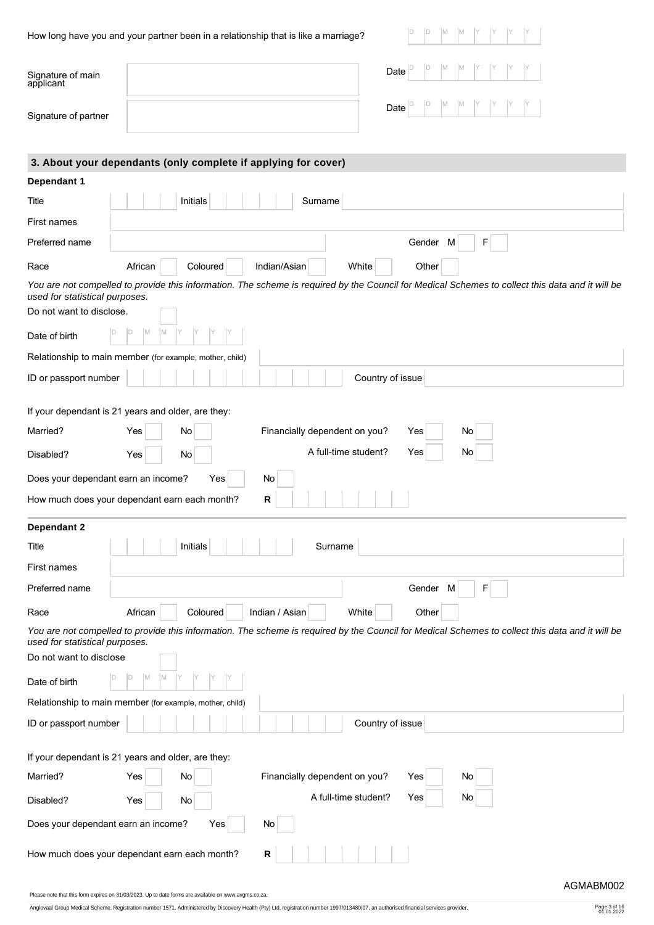|  |  |  | How long have you and your partner been in a relationship that is like a marriage? |  |  |
|--|--|--|------------------------------------------------------------------------------------|--|--|
|  |  |  |                                                                                    |  |  |

Signature of main applicant

Signature of partner

| Date $\boxed{\circ}$ $\boxed{\circ}$ $\boxed{\circ}$ $\boxed{\circ}$ $\boxed{\circ}$ $\boxed{\circ}$ $\boxed{\circ}$ $\boxed{\circ}$ $\boxed{\circ}$ $\boxed{\circ}$ $\boxed{\circ}$                                                                                                                                                                                                                                                                                                                                                    |  |  |  |  |  |
|-----------------------------------------------------------------------------------------------------------------------------------------------------------------------------------------------------------------------------------------------------------------------------------------------------------------------------------------------------------------------------------------------------------------------------------------------------------------------------------------------------------------------------------------|--|--|--|--|--|
| $\textbf{Date} \Big \begin{matrix} \texttt{D} & \begin{matrix} \texttt{D} & \begin{matrix} \texttt{M} & \begin{matrix} \texttt{M} & \begin{matrix} \texttt{Y} & \begin{matrix} \texttt{Y} & \begin{matrix} \texttt{Y} & \begin{matrix} \texttt{Y} & \begin{matrix} \texttt{Y} & \begin{matrix} \texttt{Y} & \begin{matrix} \texttt{Y} & \begin{matrix} \texttt{Y} & \begin{matrix} \texttt{Y} & \begin{matrix} \texttt{Y} & \begin{matrix} \texttt{Y} & \begin{matrix} \texttt{Y} & \begin{matrix} \texttt{Y} & \begin{matrix} \texttt$ |  |  |  |  |  |

| 3. About your dependants (only complete if applying for cover) |          |          |                |                               |             |    |                                                                                                                                                  |
|----------------------------------------------------------------|----------|----------|----------------|-------------------------------|-------------|----|--------------------------------------------------------------------------------------------------------------------------------------------------|
| Dependant 1                                                    |          |          |                |                               |             |    |                                                                                                                                                  |
| Title                                                          |          | Initials |                | Surname                       |             |    |                                                                                                                                                  |
| First names                                                    |          |          |                |                               |             |    |                                                                                                                                                  |
| Preferred name                                                 |          |          |                |                               | Gender<br>M | F  |                                                                                                                                                  |
| Race                                                           | African  | Coloured | Indian/Asian   | White                         | Other       |    |                                                                                                                                                  |
| used for statistical purposes.                                 |          |          |                |                               |             |    | You are not compelled to provide this information. The scheme is required by the Council for Medical Schemes to collect this data and it will be |
| Do not want to disclose.                                       |          |          |                |                               |             |    |                                                                                                                                                  |
| Date of birth                                                  | IM<br>IМ |          |                |                               |             |    |                                                                                                                                                  |
| Relationship to main member (for example, mother, child)       |          |          |                |                               |             |    |                                                                                                                                                  |
| ID or passport number                                          |          |          |                | Country of issue              |             |    |                                                                                                                                                  |
| If your dependant is 21 years and older, are they:             |          |          |                |                               |             |    |                                                                                                                                                  |
| Married?                                                       | Yes      | No       |                | Financially dependent on you? | Yes         | No |                                                                                                                                                  |
| Disabled?                                                      | Yes      | No       |                | A full-time student?          | Yes         | No |                                                                                                                                                  |
| Does your dependant earn an income?                            |          | Yes      | <b>No</b>      |                               |             |    |                                                                                                                                                  |
| How much does your dependant earn each month?                  |          |          | R              |                               |             |    |                                                                                                                                                  |
| Dependant 2                                                    |          |          |                |                               |             |    |                                                                                                                                                  |
| Title                                                          |          | Initials |                | Surname                       |             |    |                                                                                                                                                  |
| First names                                                    |          |          |                |                               |             |    |                                                                                                                                                  |
| Preferred name                                                 |          |          |                |                               | Gender<br>M | F  |                                                                                                                                                  |
| Race                                                           | African  | Coloured | Indian / Asian | White                         | Other       |    |                                                                                                                                                  |
| used for statistical purposes.                                 |          |          |                |                               |             |    | You are not compelled to provide this information. The scheme is required by the Council for Medical Schemes to collect this data and it will be |
| Do not want to disclose                                        |          |          |                |                               |             |    |                                                                                                                                                  |
| Date of birth                                                  | M        |          |                |                               |             |    |                                                                                                                                                  |
| Relationship to main member (for example, mother, child)       |          |          |                |                               |             |    |                                                                                                                                                  |
| ID or passport number                                          |          |          |                | Country of issue              |             |    |                                                                                                                                                  |
| If your dependant is 21 years and older, are they:             |          |          |                |                               |             |    |                                                                                                                                                  |
| Married?                                                       | Yes      | No       |                | Financially dependent on you? | Yes         | No |                                                                                                                                                  |
| Disabled?                                                      | Yes      | No       |                | A full-time student?          | Yes         | No |                                                                                                                                                  |
| Does your dependant earn an income?                            |          | Yes      | No             |                               |             |    |                                                                                                                                                  |
| How much does your dependant earn each month?                  |          |          | R              |                               |             |    |                                                                                                                                                  |

#### Please note that this form expires on 31/03/2023. Up to date forms are available on www.avgms.co.za.

Anglovaal Group Medical Scheme. Registration number 1571. Administered by Discovery Health (Pty) Ltd, registration number 1997/013480/07, an authorised financial services provider. Page 3 of 16

Page 3 of 16<br>01.01.2022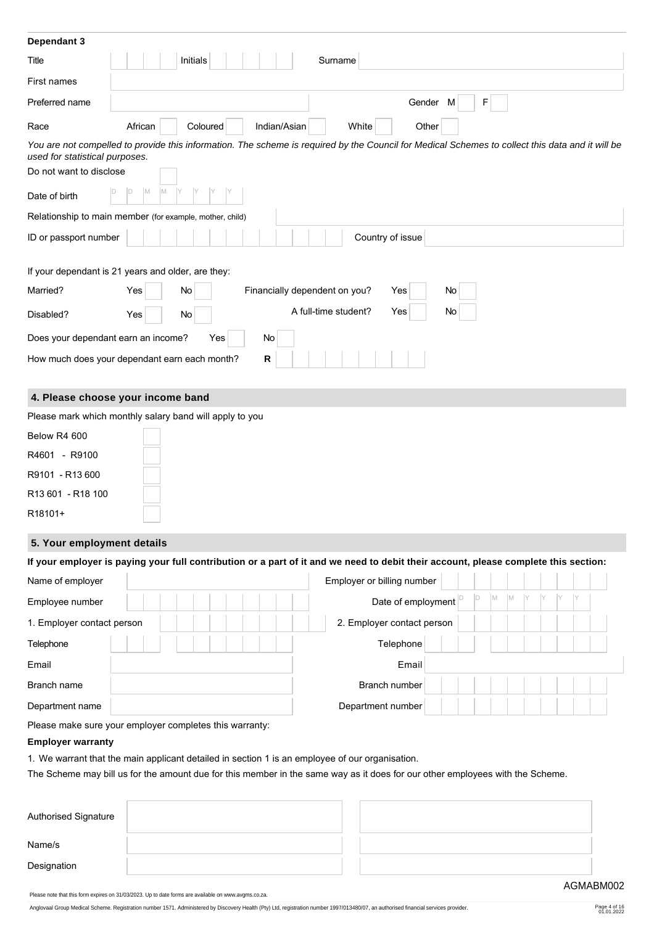| Dependant 3                                                                                                                                                                        |         |           |                               |                      |                  |    |   |  |
|------------------------------------------------------------------------------------------------------------------------------------------------------------------------------------|---------|-----------|-------------------------------|----------------------|------------------|----|---|--|
| Title                                                                                                                                                                              |         | Initials  |                               | Surname              |                  |    |   |  |
| First names                                                                                                                                                                        |         |           |                               |                      |                  |    |   |  |
| Preferred name                                                                                                                                                                     |         |           |                               |                      | Gender           | M  | F |  |
| Race                                                                                                                                                                               | African | Coloured  | Indian/Asian                  | White                | Other            |    |   |  |
| You are not compelled to provide this information. The scheme is required by the Council for Medical Schemes to collect this data and it will be<br>used for statistical purposes. |         |           |                               |                      |                  |    |   |  |
| Do not want to disclose                                                                                                                                                            |         |           |                               |                      |                  |    |   |  |
| Date of birth                                                                                                                                                                      |         |           |                               |                      |                  |    |   |  |
| Relationship to main member (for example, mother, child)                                                                                                                           |         |           |                               |                      |                  |    |   |  |
| ID or passport number                                                                                                                                                              |         |           |                               |                      | Country of issue |    |   |  |
| If your dependant is 21 years and older, are they:                                                                                                                                 |         |           |                               |                      |                  |    |   |  |
| Married?                                                                                                                                                                           | Yes     | No        | Financially dependent on you? |                      | Yes              | No |   |  |
| Disabled?                                                                                                                                                                          | Yes     | <b>No</b> |                               | A full-time student? | Yes              | No |   |  |
| Does your dependant earn an income?                                                                                                                                                |         | Yes       | No                            |                      |                  |    |   |  |
| How much does your dependant earn each month?                                                                                                                                      |         |           | R                             |                      |                  |    |   |  |
| 4. Please choose your income band                                                                                                                                                  |         |           |                               |                      |                  |    |   |  |
| Please mark which monthly salary band will apply to you                                                                                                                            |         |           |                               |                      |                  |    |   |  |

| Below R4 600      |  |
|-------------------|--|
| R4601<br>- R9100  |  |
| R9101 - R13 600   |  |
| R13 601 - R18 100 |  |
| R18101+           |  |

# **5. Your employment details**

| If your employer is paying your full contribution or a part of it and we need to debit their account, please complete this section: |
|-------------------------------------------------------------------------------------------------------------------------------------|
|-------------------------------------------------------------------------------------------------------------------------------------|

| Name of employer           | Employer or billing number   |
|----------------------------|------------------------------|
| Employee number            | M<br>M<br>Date of employment |
| 1. Employer contact person | 2. Employer contact person   |
| Telephone                  | Telephone                    |
| Email                      | Email                        |
| Branch name                | Branch number                |
| Department name            | Department number            |

Please make sure your employer completes this warranty:

# **Employer warranty**

1. We warrant that the main applicant detailed in section 1 is an employee of our organisation.

The Scheme may bill us for the amount due for this member in the same way as it does for our other employees with the Scheme.

| Authorised Signature |  |  |
|----------------------|--|--|
| Name/s               |  |  |
| Designation          |  |  |

Please note that this form expires on 31/03/2023. Up to date forms are available on www.avgms.co.za.

Anglovaal Group Medical Scheme. Registration number 1571. Administered by Discovery Health (Pty) Ltd, registration number 1997/013480/07, an authorised financial services provider. Page 4 of 16

Page 4 of 16<br>01.01.2022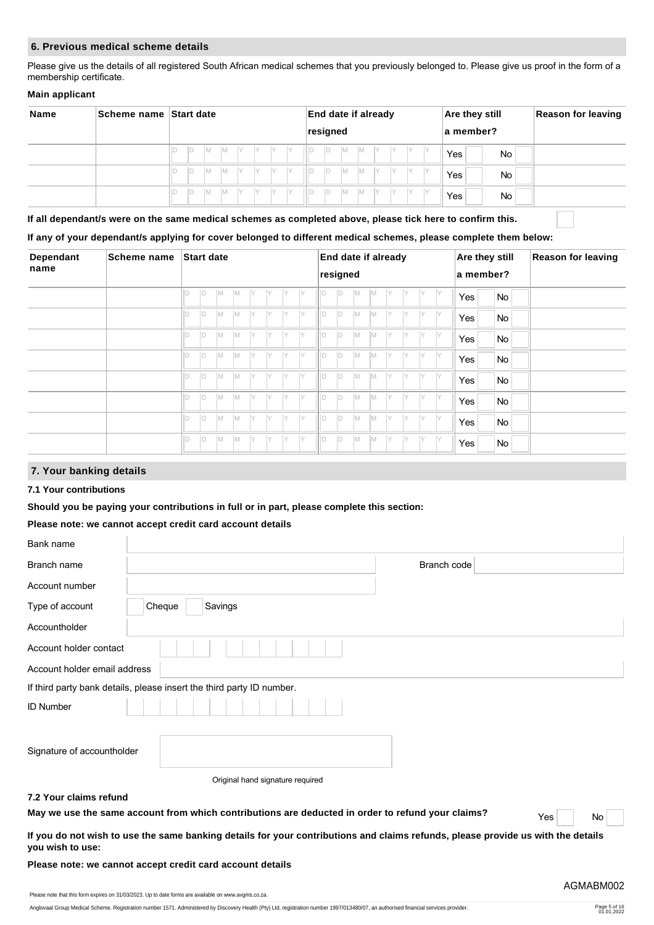## **6. Previous medical scheme details**

Please give us the details of all registered South African medical schemes that you previously belonged to. Please give us proof in the form of a membership certificate.

## **Main applicant**

| <b>Name</b> | Scheme name Start date                                               |    |    |     |           |    |    |      |     | <b>End date if already</b> |          |     |           |     |     |                  |     |                  | <b>Are they still</b> | <b>Reason for leaving</b> |  |
|-------------|----------------------------------------------------------------------|----|----|-----|-----------|----|----|------|-----|----------------------------|----------|-----|-----------|-----|-----|------------------|-----|------------------|-----------------------|---------------------------|--|
|             |                                                                      |    |    |     |           |    |    |      |     |                            | resigned |     |           |     |     |                  |     |                  |                       | a member?                 |  |
|             | IM.<br>$\mathsf{I}$ $\mathsf{Y}$<br>ID<br>IY<br>IY<br>ID<br><b>M</b> |    |    |     |           |    |    | IIID | ID  | IM.                        | IM.      |     |           |     |     | Yes <sub>1</sub> |     | <b>No</b>        |                       |                           |  |
|             |                                                                      | ID | ID | IM. | IM.       | IY | IY | IY.  | IY. | IIId                       | ID       | IM. | <b>IM</b> |     |     |                  |     | Yes <sub>1</sub> |                       | <b>No</b>                 |  |
|             |                                                                      | ID | ID | IM. | <b>IM</b> | IY | IY | IV.  | IV. | IIId                       | ID       | IM. | IM.       | IY. | IY. | $\vee$           | l Y | Yes i            |                       | No                        |  |

**If all dependant/s were on the same medical schemes as completed above, please tick here to confirm this.**

## **If any of your dependant/s applying for cover belonged to different medical schemes, please complete them below:**

| <b>Dependant</b> |  |        | <b>Start date</b> |     |          |    |    |     |     |     | End date if already |           |           |     |    |     | Are they still |           | <b>Reason for leaving</b> |  |
|------------------|--|--------|-------------------|-----|----------|----|----|-----|-----|-----|---------------------|-----------|-----------|-----|----|-----|----------------|-----------|---------------------------|--|
| name             |  |        |                   |     |          |    |    |     |     |     | resigned            |           |           |     |    |     |                | a member? |                           |  |
|                  |  | D      | D                 | IM. | <b>M</b> | IY | IY | IY  | IY  | IID | ID.                 | IM.       | <b>IM</b> | IY  | IY | IY  | IY.            | Yes       | No                        |  |
|                  |  |        | ID.               | İM. | <b>M</b> | IY | IY | IY  | IY  | lld | ID.                 | <b>IM</b> | <b>M</b>  | IY  | ΙY | IY  | IY             | Yes       | No                        |  |
|                  |  |        | Id                | M   | M        | IY | IY | IY  | IY  | lld | ID.                 | IM.       | M         | IY  | Y  | ΙY  | IY             | Yes       | No                        |  |
|                  |  | $\Box$ | ID.               | M   | M        | IY | IY | IY. | IY  | ID  | ID.                 | IM.       | <b>M</b>  | IY. | Y  | ΙY  | IY.            | Yes       | No                        |  |
|                  |  |        | ID                | M   | M        | IY |    | Y   | IY  | ID  | ID.                 | IM.       | <b>M</b>  | IY  | Y  | IY  | ly.            | Yes       | No                        |  |
|                  |  | $\Box$ | ID.               | M   | IM.      | IY | IY | IY. | IY  | 1D  | D                   | IM.       | M         | IY. | Y  | IY. | IY.            | Yes       | No                        |  |
|                  |  | $\Box$ | ID.               | M   | M        | IY | IY | IY. | IY. | ID  | ID.                 | IM.       | M         | IY  | IY | IY  | IY.            | Yes       | No                        |  |
|                  |  |        | ID                | IM. | <b>M</b> | IY | IY | IY  | IY  | ID  | ID.                 | IM.       | <b>M</b>  | IY  | IY | IY  | IY.            | Yes       | No                        |  |

# **7. Your banking details**

## **7.1 Your contributions**

#### **Should you be paying your contributions in full or in part, please complete this section:**

## **Please note: we cannot accept credit card account details**

| Bank name                    |                                                                                                                                  |           |
|------------------------------|----------------------------------------------------------------------------------------------------------------------------------|-----------|
| Branch name                  | Branch code                                                                                                                      |           |
| Account number               |                                                                                                                                  |           |
| Type of account              | Cheque<br>Savings                                                                                                                |           |
| Accountholder                |                                                                                                                                  |           |
| Account holder contact       |                                                                                                                                  |           |
| Account holder email address |                                                                                                                                  |           |
|                              | If third party bank details, please insert the third party ID number.                                                            |           |
| <b>ID Number</b>             |                                                                                                                                  |           |
| Signature of accountholder   |                                                                                                                                  |           |
|                              | Original hand signature required                                                                                                 |           |
| 7.2 Your claims refund       |                                                                                                                                  |           |
|                              | May we use the same account from which contributions are deducted in order to refund your claims?                                | Yes<br>No |
| you wish to use:             | If you do not wish to use the same banking details for your contributions and claims refunds, please provide us with the details |           |

#### **Please note: we cannot accept credit card account details**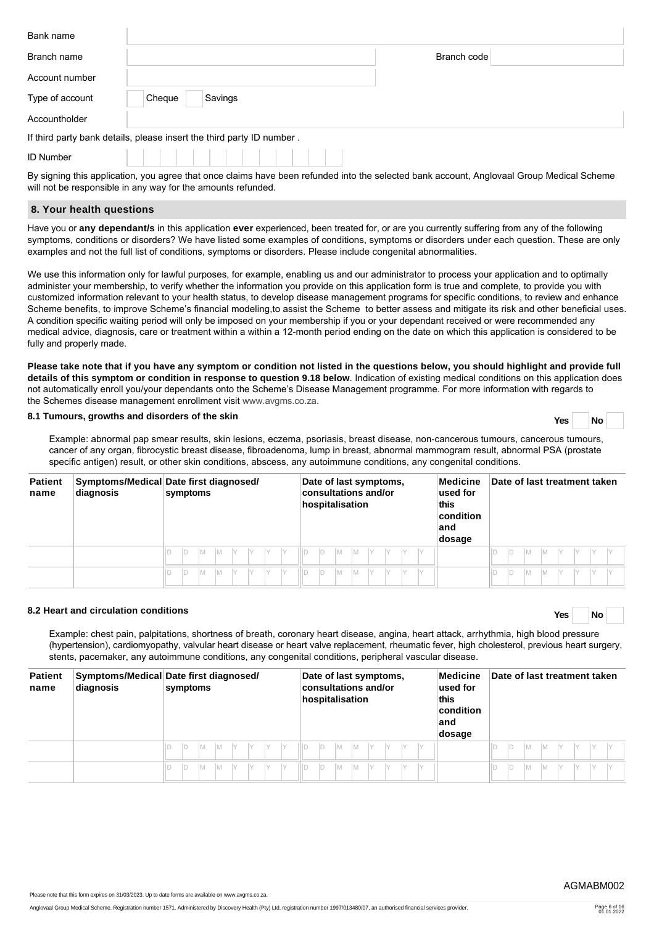| Bank name        |                                                                       |
|------------------|-----------------------------------------------------------------------|
| Branch name      | Branch code                                                           |
| Account number   |                                                                       |
| Type of account  | Cheque<br>Savings                                                     |
| Accountholder    |                                                                       |
|                  | If third party bank details, please insert the third party ID number. |
| <b>ID Number</b> |                                                                       |

By signing this application, you agree that once claims have been refunded into the selected bank account, Anglovaal Group Medical Scheme will not be responsible in any way for the amounts refunded.

### **8. Your health questions**

Have you or **any dependant/s** in this application **ever** experienced, been treated for, or are you currently suffering from any of the following symptoms, conditions or disorders? We have listed some examples of conditions, symptoms or disorders under each question. These are only examples and not the full list of conditions, symptoms or disorders. Please include congenital abnormalities.

We use this information only for lawful purposes, for example, enabling us and our administrator to process your application and to optimally administer your membership, to verify whether the information you provide on this application form is true and complete, to provide you with customized information relevant to your health status, to develop disease management programs for specific conditions, to review and enhance Scheme benefits, to improve Scheme's financial modeling,to assist the Scheme to better assess and mitigate its risk and other beneficial uses. A condition specific waiting period will only be imposed on your membership if you or your dependant received or were recommended any medical advice, diagnosis, care or treatment within a within a 12-month period ending on the date on which this application is considered to be fully and properly made.

**Please take note that if you have any symptom or condition not listed in the questions below, you should highlight and provide full details of this symptom or condition in response to question 9.18 below**. Indication of existing medical conditions on this application does not automatically enroll you/your dependants onto the Scheme's Disease Management programme. For more information with regards to the Schemes disease management enrollment visit [www.avgms.co.za](http://www.avgms.co.za).

## **8.1 Tumours, growths and disorders of the skin Yes No**

Example: abnormal pap smear results, skin lesions, eczema, psoriasis, breast disease, non-cancerous tumours, cancerous tumours, cancer of any organ, fibrocystic breast disease, fibroadenoma, lump in breast, abnormal mammogram result, abnormal PSA (prostate specific antigen) result, or other skin conditions, abscess, any autoimmune conditions, any congenital conditions.

| <b>Patient</b><br>name | diagnosis | Symptoms/Medical Date first diagnosed/<br>symptoms | Medicine<br>Date of last symptoms,<br>consultations and/or<br>$ $ used for<br>hospitalisation<br>this<br>condition<br>∣and<br>dosage | Date of last treatment taken |
|------------------------|-----------|----------------------------------------------------|--------------------------------------------------------------------------------------------------------------------------------------|------------------------------|
|                        |           | $\vee$                                             | M<br>Y<br>M                                                                                                                          | ID<br>Iм                     |
|                        |           | $\checkmark$                                       | $\vee$<br>M<br>Iv<br>M                                                                                                               | ID<br>Iм                     |

# **8.2 Heart and circulation conditions Yes No**

Example: chest pain, palpitations, shortness of breath, coronary heart disease, angina, heart attack, arrhythmia, high blood pressure (hypertension), cardiomyopathy, valvular heart disease or heart valve replacement, rheumatic fever, high cholesterol, previous heart surgery, stents, pacemaker, any autoimmune conditions, any congenital conditions, peripheral vascular disease.

| <b>Patient</b><br>name | diagnosis | Symptoms/Medical Date first diagnosed/<br>symptoms | Date of last symptoms,<br>consultations and/or<br>hospitalisation | Medicine<br>Date of last treatment taken<br>used for<br>this<br>$ $ condition<br>land<br>dosage |
|------------------------|-----------|----------------------------------------------------|-------------------------------------------------------------------|-------------------------------------------------------------------------------------------------|
|                        |           | Y<br>IY<br>$\checkmark$                            | M                                                                 | ID<br>Iм                                                                                        |
|                        |           | IY<br>М<br>M                                       | M                                                                 | ID<br>ΙM                                                                                        |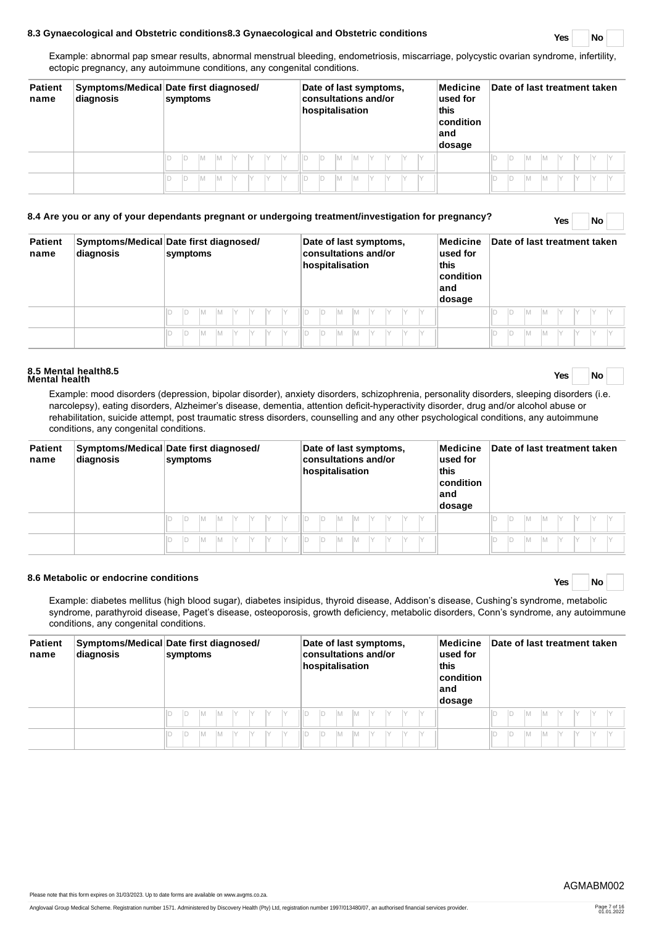## **8.3 Gynaecological and Obstetric conditions8.3 Gynaecological and Obstetric conditions Yes No**

Example: abnormal pap smear results, abnormal menstrual bleeding, endometriosis, miscarriage, polycystic ovarian syndrome, infertility, ectopic pregnancy, any autoimmune conditions, any congenital conditions.

| <b>Patient</b><br>name | diagnosis | Symptoms/Medical Date first diagnosed/<br>symptoms | Medicine<br>Date of last symptoms,<br>consultations and/or<br>$ $ used for<br>hospitalisation<br>this<br>$ $ condition<br>∣and<br>dosage | Date of last treatment taken     |
|------------------------|-----------|----------------------------------------------------|------------------------------------------------------------------------------------------------------------------------------------------|----------------------------------|
|                        |           | M<br>Y<br>M                                        | D<br>M<br>IM.                                                                                                                            | ID<br>IM.<br>Iм                  |
|                        |           | $\vee$<br>M<br>M<br>IY                             | IM.<br>IY.<br>M<br>IV                                                                                                                    | ID<br>M<br>$\vee$<br>$\vee$<br>M |

# **8.4 Are you or any of your dependants pregnant or undergoing treatment/investigation for pregnancy? Yes No**

**Patient name Symptoms/Medical Date first diagnosed/ diagnosis symptoms Date of last symptoms, consultations and/or hospitalisation Medicine used for this condition and dosage Date of last treatment taken** D D M M Y Y Y Y D D M M Y Y Y Y D D M M Y Y Y Y D D M M Y Y Y Y D D M M Y Y Y Y D D M M Y Y Y Y

# **8.5 Mental health8.5 Mental health Yes No**

Example: mood disorders (depression, bipolar disorder), anxiety disorders, schizophrenia, personality disorders, sleeping disorders (i.e. narcolepsy), eating disorders, Alzheimer's disease, dementia, attention deficit-hyperactivity disorder, drug and/or alcohol abuse or rehabilitation, suicide attempt, post traumatic stress disorders, counselling and any other psychological conditions, any autoimmune conditions, any congenital conditions.

| <b>Patient</b><br>name | diagnosis | Symptoms/Medical Date first diagnosed/<br>symptoms | Date of last symptoms,<br>Medicine<br><b>consultations and/or</b><br>used for<br>this<br>hospitalisation<br>$ $ condition<br>land<br>dosage | Date of last treatment taken |
|------------------------|-----------|----------------------------------------------------|---------------------------------------------------------------------------------------------------------------------------------------------|------------------------------|
|                        |           | M<br>M<br>Iv<br>IV                                 | D<br>M<br>M<br>IY.                                                                                                                          | M<br>ID                      |
|                        |           | D<br>M<br>M                                        | M<br>Iм<br>D                                                                                                                                | ID<br>M                      |

# **8.6 Metabolic or endocrine conditions Yes No**

Example: diabetes mellitus (high blood sugar), diabetes insipidus, thyroid disease, Addison's disease, Cushing's syndrome, metabolic syndrome, parathyroid disease, Paget's disease, osteoporosis, growth deficiency, metabolic disorders, Conn's syndrome, any autoimmune conditions, any congenital conditions.

| <b>Patient</b><br>name | diagnosis | Symptoms/Medical Date first diagnosed/<br>symptoms | Medicine<br>Date of last symptoms,<br>consultations and/or<br>$\sf used$ for<br>hospitalisation<br>this<br>condition<br>∣and<br>dosage | Date of last treatment taken |
|------------------------|-----------|----------------------------------------------------|----------------------------------------------------------------------------------------------------------------------------------------|------------------------------|
|                        |           | V<br>M<br>V<br>IY<br>IY<br>M                       | D<br>IV<br>M<br>M                                                                                                                      | ID<br>M                      |
|                        |           | IY<br>M<br>Y<br>M<br>$\vee$                        | IY<br>M<br>M                                                                                                                           | ID<br>M                      |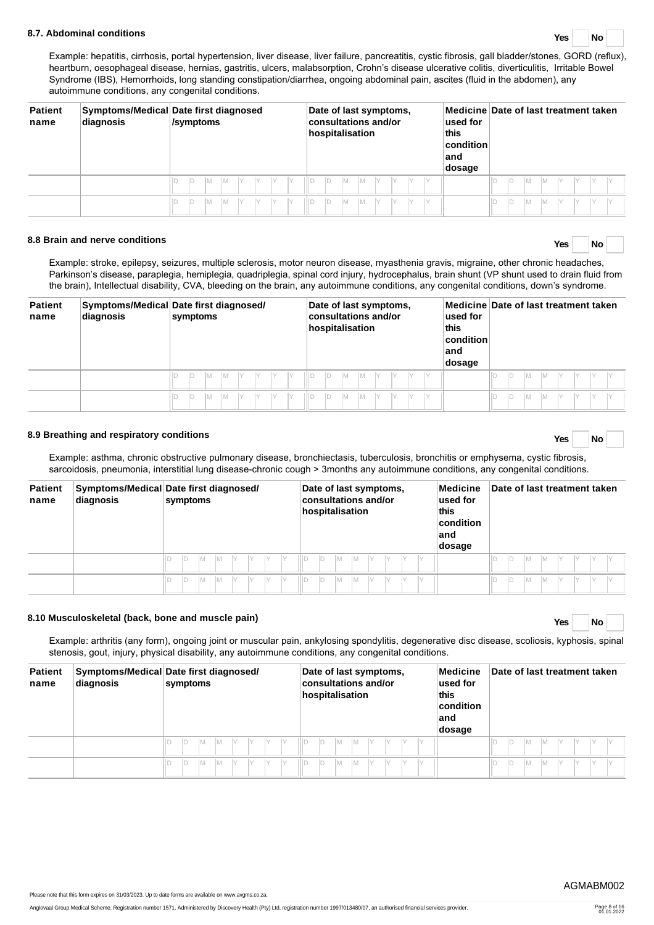## **8.7. Abdominal conditions Yes No**

Example: hepatitis, cirrhosis, portal hypertension, liver disease, liver failure, pancreatitis, cystic fibrosis, gall bladder/stones, GORD (reflux), heartburn, oesophageal disease, hernias, gastritis, ulcers, malabsorption, Crohn's disease ulcerative colitis, diverticulitis, Irritable Bowel Syndrome (IBS), Hemorrhoids, long standing constipation/diarrhea, ongoing abdominal pain, ascites (fluid in the abdomen), any autoimmune conditions, any congenital conditions.

| <b>Patient</b><br>name | diagnosis | Symptoms/Medical Date first diagnosed<br>/symptoms | Date of last symptoms,<br>consultations and/or<br>hospitalisation | Medicine Date of last treatment taken<br>used for<br>this<br><b>condition</b><br>land<br>dosage |
|------------------------|-----------|----------------------------------------------------|-------------------------------------------------------------------|-------------------------------------------------------------------------------------------------|
|                        |           | Iм<br>ID                                           | IM.<br>IM.<br>ID<br>IY                                            | M<br>Iм<br>IV                                                                                   |
|                        |           | D<br>lм                                            | IY<br>IM.                                                         | ID<br>M<br>Iм<br>IY                                                                             |

# **8.8 Brain and nerve conditions Yes No**

Example: stroke, epilepsy, seizures, multiple sclerosis, motor neuron disease, myasthenia gravis, migraine, other chronic headaches, Parkinson's disease, paraplegia, hemiplegia, quadriplegia, spinal cord injury, hydrocephalus, brain shunt (VP shunt used to drain fluid from the brain), Intellectual disability, CVA, bleeding on the brain, any autoimmune conditions, any congenital conditions, down's syndrome.

| <b>Patient</b><br>name | Symptoms/Medical Date first diagnosed/<br>diagnosis |        | symptoms |  |  | Date of last symptoms,<br><b>consultations and/or</b><br>hospitalisation |  |     |  |  |  |  |    | Medicine Date of last treatment taken<br>used for<br>this<br>$ $ condition $ $<br>land<br>dosage |    |    |  |  |  |
|------------------------|-----------------------------------------------------|--------|----------|--|--|--------------------------------------------------------------------------|--|-----|--|--|--|--|----|--------------------------------------------------------------------------------------------------|----|----|--|--|--|
|                        |                                                     |        | M        |  |  | Hв                                                                       |  | IM. |  |  |  |  | IY |                                                                                                  | ID | ١M |  |  |  |
|                        |                                                     | $\Box$ | łм       |  |  |                                                                          |  | M   |  |  |  |  | IY |                                                                                                  | ID | ١M |  |  |  |

# **8.9 Breathing and respiratory conditions Yes No**

Example: asthma, chronic obstructive pulmonary disease, bronchiectasis, tuberculosis, bronchitis or emphysema, cystic fibrosis, sarcoidosis, pneumonia, interstitial lung disease-chronic cough > 3months any autoimmune conditions, any congenital conditions.

| <b>Patient</b><br>name | diagnosis | Symptoms/Medical Date first diagnosed/<br>symptoms | Medicine<br>Date of last symptoms,<br>consultations and/or<br>$ $ used for<br>hospitalisation<br>this<br>condition<br>∣and<br>dosage | Date of last treatment taken |
|------------------------|-----------|----------------------------------------------------|--------------------------------------------------------------------------------------------------------------------------------------|------------------------------|
|                        |           | Y<br>IY                                            | M<br>Y<br>M<br>IY                                                                                                                    | ID<br>IM.<br>IM.             |
|                        |           | ID<br>$\checkmark$<br>М                            | M<br>Y<br>M                                                                                                                          | ID<br>ΙM                     |

# **8.10 Musculoskeletal (back, bone and muscle pain) Yes No**

Example: arthritis (any form), ongoing joint or muscular pain, ankylosing spondylitis, degenerative disc disease, scoliosis, kyphosis, spinal stenosis, gout, injury, physical disability, any autoimmune conditions, any congenital conditions.

| <b>Patient</b><br>name | diagnosis | Symptoms/Medical Date first diagnosed/<br>symptoms | Date of last symptoms,<br>Medicine<br>consultations and/or<br>$ $ used for<br>hospitalisation<br>this<br>condition<br>∣and<br>dosage | Date of last treatment taken |
|------------------------|-----------|----------------------------------------------------|--------------------------------------------------------------------------------------------------------------------------------------|------------------------------|
|                        |           | $\vee$                                             | V<br>M<br>M                                                                                                                          | ID<br>Iм                     |
|                        |           | ID<br>$\vee$<br>$\checkmark$<br>$\vee$<br>M        | $\vee$<br>M<br>M                                                                                                                     | ID<br>ΙM                     |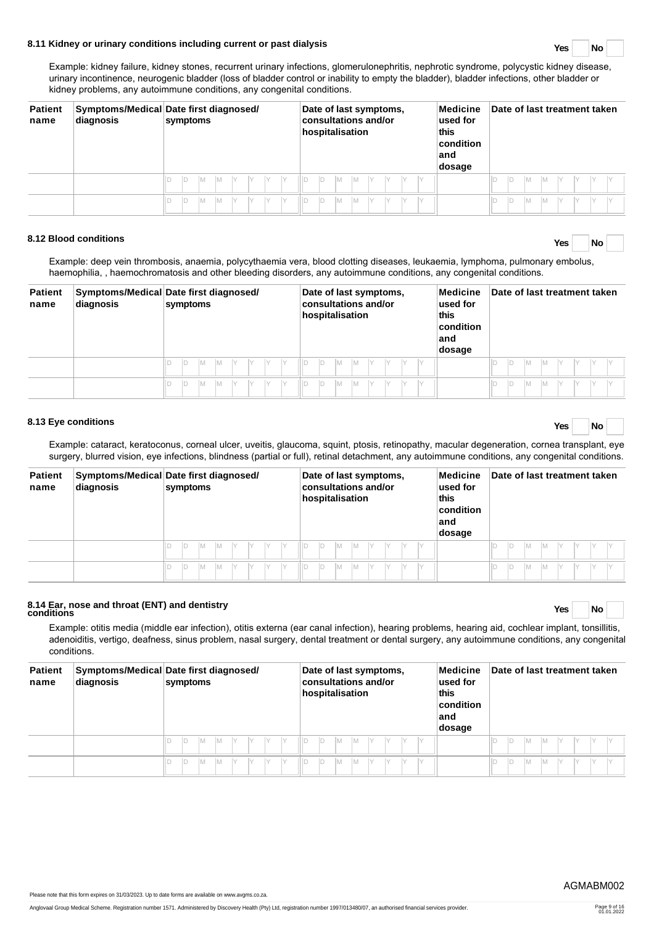# **8.11 Kidney or urinary conditions including current or past dialysis Yes No**

Example: kidney failure, kidney stones, recurrent urinary infections, glomerulonephritis, nephrotic syndrome, polycystic kidney disease, urinary incontinence, neurogenic bladder (loss of bladder control or inability to empty the bladder), bladder infections, other bladder or kidney problems, any autoimmune conditions, any congenital conditions.

| <b>Patient</b><br>name | diagnosis | Symptoms/Medical Date first diagnosed/<br>symptoms | Date of last symptoms,<br>consultations and/or<br>hospitalisation | Medicine<br>$ $ used for<br>this<br>condition<br>∣and<br>dosage | Date of last treatment taken |
|------------------------|-----------|----------------------------------------------------|-------------------------------------------------------------------|-----------------------------------------------------------------|------------------------------|
|                        |           | $\vee$                                             | IY<br>IY<br>V<br>IY<br>M<br>M                                     |                                                                 | Iм<br>Iv<br>M                |
|                        |           | $\checkmark$<br>$\vee$<br>M<br>M<br>$\checkmark$   | Iv<br>M<br>$\vee$<br>$\vee$<br>Iv<br>M                            |                                                                 | ID<br>M<br>M<br>IV           |

# **8.12 Blood conditions Yes No**

Example: deep vein thrombosis, anaemia, polycythaemia vera, blood clotting diseases, leukaemia, lymphoma, pulmonary embolus, haemophilia, , haemochromatosis and other bleeding disorders, any autoimmune conditions, any congenital conditions.

| <b>Patient</b><br>name | diagnosis | Symptoms/Medical Date first diagnosed/<br>symptoms | Date of last symptoms,<br>Medicine<br>consultations and/or<br>$ $ used for<br>hospitalisation<br><b>this</b><br>condition<br>∣and<br>dosage | Date of last treatment taken |
|------------------------|-----------|----------------------------------------------------|---------------------------------------------------------------------------------------------------------------------------------------------|------------------------------|
|                        |           | Y<br>IY.<br>IY<br>IМ<br>M                          | IM.<br>IY<br>M                                                                                                                              | M<br>Iм                      |
|                        |           | IY<br>M<br>$\vee$<br>M                             | Iм<br>M                                                                                                                                     | M<br>ΙM                      |

# **8.13 Eye conditions Yes No**

Example: cataract, keratoconus, corneal ulcer, uveitis, glaucoma, squint, ptosis, retinopathy, macular degeneration, cornea transplant, eye surgery, blurred vision, eye infections, blindness (partial or full), retinal detachment, any autoimmune conditions, any congenital conditions.

| <b>Patient</b><br>name | diagnosis | Symptoms/Medical Date first diagnosed/<br>symptoms | Medicine<br>Date of last symptoms,<br>consultations and/or<br>$ $ used for<br>hospitalisation<br>this<br>condition<br>∣and<br>dosage | Date of last treatment taken |
|------------------------|-----------|----------------------------------------------------|--------------------------------------------------------------------------------------------------------------------------------------|------------------------------|
|                        |           | - IY<br>$\checkmark$                               | III D<br>M<br>М                                                                                                                      | M                            |
|                        |           | ID<br>$\checkmark$<br>M                            | M<br>М                                                                                                                               | ID<br>M                      |

# **8.14 Ear, nose and throat (ENT) and dentistry conditions Yes No**

Example: otitis media (middle ear infection), otitis externa (ear canal infection), hearing problems, hearing aid, cochlear implant, tonsillitis, adenoiditis, vertigo, deafness, sinus problem, nasal surgery, dental treatment or dental surgery, any autoimmune conditions, any congenital conditions.

| <b>Patient</b><br>name | diagnosis | Symptoms/Medical Date first diagnosed/<br>symptoms | Date of last symptoms,<br>Medicine<br>consultations and/or<br>used for<br>hospitalisation<br>this<br>condition<br>∣and<br>dosage | Date of last treatment taken |
|------------------------|-----------|----------------------------------------------------|----------------------------------------------------------------------------------------------------------------------------------|------------------------------|
|                        |           | $\vee$                                             | M<br>M                                                                                                                           | D<br>M                       |
|                        |           | M                                                  | M<br>$\vee$<br>M                                                                                                                 | ID<br>M                      |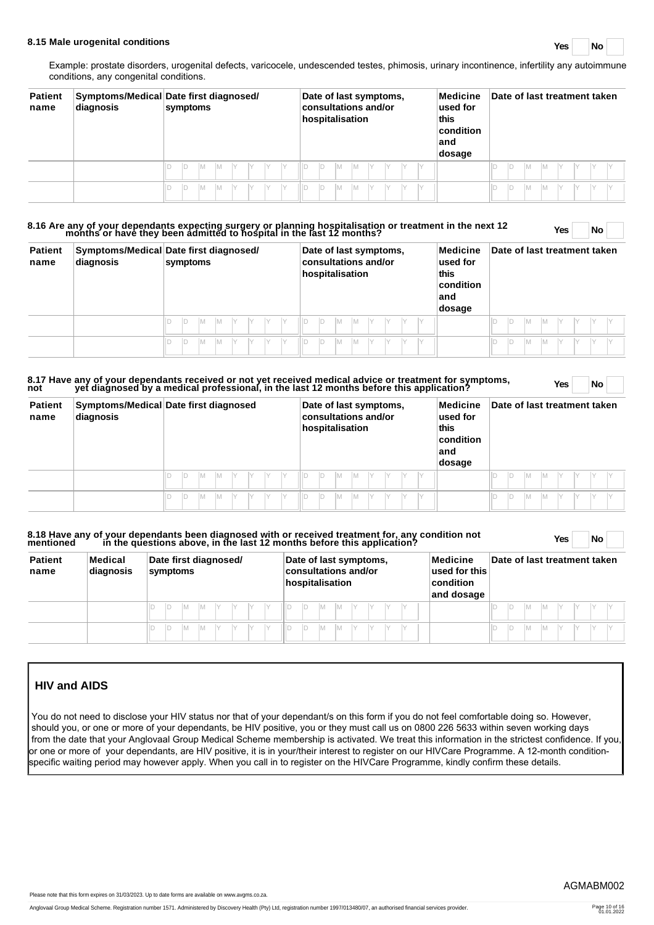# **8.15 Male urogenital conditions Yes No**

Example: prostate disorders, urogenital defects, varicocele, undescended testes, phimosis, urinary incontinence, infertility any autoimmune conditions, any congenital conditions.

| <b>Patient</b><br>name | diagnosis | Symptoms/Medical Date first diagnosed/<br>symptoms | Date of last symptoms,<br>Medicine<br>consultations and/or<br>used for<br>hospitalisation<br>this<br>condition<br>land<br>dosage | Date of last treatment taken |
|------------------------|-----------|----------------------------------------------------|----------------------------------------------------------------------------------------------------------------------------------|------------------------------|
|                        |           | $\checkmark$<br>IY<br>M<br>M<br>IV                 | ID<br>IV.<br>IМ<br>M<br>IY                                                                                                       | M<br>ID<br>IМ                |
|                        |           | IY.<br>M<br>M                                      | D<br>M<br>$\vee$<br>M<br>IY                                                                                                      | ID<br>IМ                     |

# **8.16 Are any of your dependants expecting surgery or planning hospitalisation or treatment in the next 12 months or have they been admitted to hospital in the last 12 months? Yes No**

| <b>Patient</b><br>name | diagnosis | Symptoms/Medical Date first diagnosed/<br>symptoms |   |    | Date of last symptoms,<br>consultations and/or<br>hospitalisation |     |     |  |  |     |   | Medicine<br>used for<br>this<br>$ $ condition<br>∣and<br>dosage | Date of last treatment taken |  |  |  |  |  |    |   |     |     |                        |  |
|------------------------|-----------|----------------------------------------------------|---|----|-------------------------------------------------------------------|-----|-----|--|--|-----|---|-----------------------------------------------------------------|------------------------------|--|--|--|--|--|----|---|-----|-----|------------------------|--|
|                        |           |                                                    | M | IМ | IY.                                                               | IY. | IV. |  |  | ID. | M | Iм                                                              | IY                           |  |  |  |  |  | D  | M | IM. | IY. | $\mathsf{I}\mathsf{V}$ |  |
|                        |           |                                                    | M | M  | Y                                                                 | IY. |     |  |  | ID  | M | M                                                               |                              |  |  |  |  |  | ID | M |     |     |                        |  |

# 8.17 Have any of your dependants received or not yet received medical advice or treatment for symptoms, Yes No<br>not yet diagnosed by a medical professional, in the last 12 months before this application?

| <b>Patient</b><br>name | diagnosis | Symptoms/Medical Date first diagnosed   | Date of last symptoms,<br>consultations and/or<br>hospitalisation | Medicine<br>used for<br>this<br>condition<br>∣and<br>dosage | Date of last treatment taken        |
|------------------------|-----------|-----------------------------------------|-------------------------------------------------------------------|-------------------------------------------------------------|-------------------------------------|
|                        |           | IY.<br>D<br>IV<br>Iv<br>Iм<br>IY.<br>Iм | 11 D<br>IY<br>D<br>IV<br>IY<br>M<br>IY<br>M                       |                                                             | $\Box$<br>M<br>IV<br>Iм<br>IV<br>IV |
|                        |           | ID<br>IY<br>Iм<br>M                     | IY.<br>IY<br>M<br>M                                               |                                                             | ID<br>M<br>IM.<br>IY                |

# **8.18 Have any of your dependants been diagnosed with or received treatment for, any condition not mentioned in the questions above, in the last 12 months before this application? Yes No**

| <b>Patient</b><br>name | Medical<br>diagnosis | Date first diagnosed/<br>symptoms | Date of last symptoms,<br>consultations and/or<br>hospitalisation | Medicine<br>used for this<br>condition<br>and dosage | Date of last treatment taken |
|------------------------|----------------------|-----------------------------------|-------------------------------------------------------------------|------------------------------------------------------|------------------------------|
|                        |                      | IY<br>IY<br>IM.                   | IY<br>M<br>IIID<br>M                                              |                                                      | IM.<br>ΙM                    |
|                        |                      |                                   | IM.<br>IM.                                                        |                                                      | IM.<br>ΙM                    |

# **HIV and AIDS**

You do not need to disclose your HIV status nor that of your dependant/s on this form if you do not feel comfortable doing so. However, should you, or one or more of your dependants, be HIV positive, you or they must call us on 0800 226 5633 within seven working days from the date that your Anglovaal Group Medical Scheme membership is activated. We treat this information in the strictest confidence. If you or one or more of your dependants, are HIV positive, it is in your/their interest to register on our HIVCare Programme. A 12-month conditionspecific waiting period may however apply. When you call in to register on the HIVCare Programme, kindly confirm these details.

Please note that this form expires on 31/03/2023. Up to date forms are available on www.avgms.co.za.

Anglovaal Group Medical Scheme. Registration number 1571. Administered by Discovery Health (Pty) Ltd, registration number 1997/013480/07, an authorised financial services provider.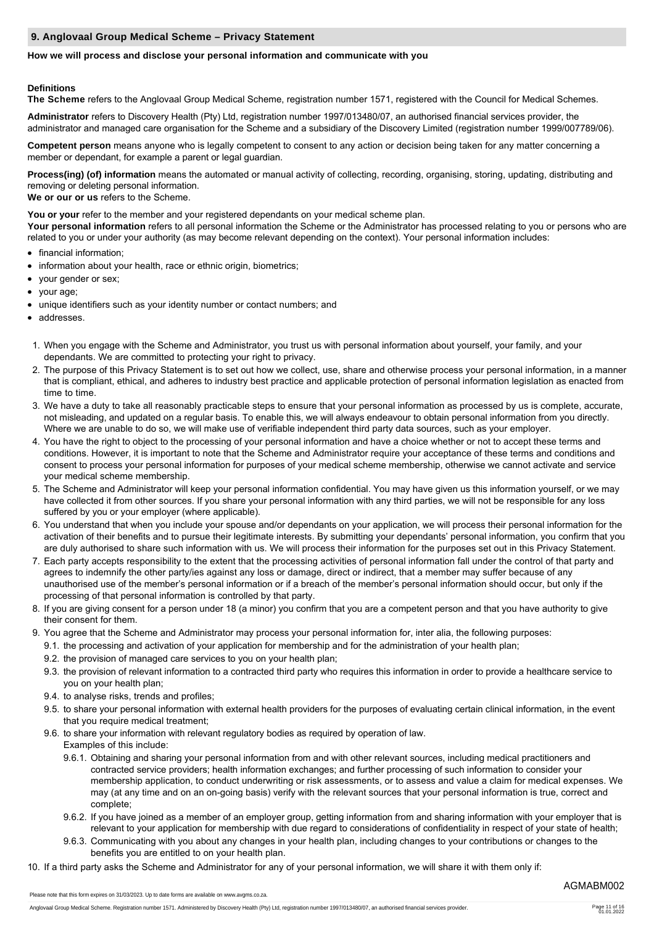## **9. Anglovaal Group Medical Scheme – Privacy Statement**

# **How we will process and disclose your personal information and communicate with you**

# **Definitions**

**The Scheme** refers to the Anglovaal Group Medical Scheme, registration number 1571, registered with the Council for Medical Schemes.

**Administrator** refers to Discovery Health (Pty) Ltd, registration number 1997/013480/07, an authorised financial services provider, the administrator and managed care organisation for the Scheme and a subsidiary of the Discovery Limited (registration number 1999/007789/06).

**Competent person** means anyone who is legally competent to consent to any action or decision being taken for any matter concerning a member or dependant, for example a parent or legal guardian.

**Process(ing) (of) information** means the automated or manual activity of collecting, recording, organising, storing, updating, distributing and removing or deleting personal information.

**We or our or us** refers to the Scheme.

You or your refer to the member and your registered dependants on your medical scheme plan.

**Your personal information** refers to all personal information the Scheme or the Administrator has processed relating to you or persons who are related to you or under your authority (as may become relevant depending on the context). Your personal information includes:

- financial information;
- information about your health, race or ethnic origin, biometrics;
- your gender or sex;  $\bullet$
- your age;
- unique identifiers such as your identity number or contact numbers; and
- addresses.
- 1. When you engage with the Scheme and Administrator, you trust us with personal information about yourself, your family, and your dependants. We are committed to protecting your right to privacy.
- 2. The purpose of this Privacy Statement is to set out how we collect, use, share and otherwise process your personal information, in a manner that is compliant, ethical, and adheres to industry best practice and applicable protection of personal information legislation as enacted from time to time.
- 3. We have a duty to take all reasonably practicable steps to ensure that your personal information as processed by us is complete, accurate, not misleading, and updated on a regular basis. To enable this, we will always endeavour to obtain personal information from you directly. Where we are unable to do so, we will make use of verifiable independent third party data sources, such as your employer.
- 4. You have the right to object to the processing of your personal information and have a choice whether or not to accept these terms and conditions. However, it is important to note that the Scheme and Administrator require your acceptance of these terms and conditions and consent to process your personal information for purposes of your medical scheme membership, otherwise we cannot activate and service your medical scheme membership.
- 5. The Scheme and Administrator will keep your personal information confidential. You may have given us this information yourself, or we may have collected it from other sources. If you share your personal information with any third parties, we will not be responsible for any loss suffered by you or your employer (where applicable).
- 6. You understand that when you include your spouse and/or dependants on your application, we will process their personal information for the activation of their benefits and to pursue their legitimate interests. By submitting your dependants' personal information, you confirm that you are duly authorised to share such information with us. We will process their information for the purposes set out in this Privacy Statement.
- 7. Each party accepts responsibility to the extent that the processing activities of personal information fall under the control of that party and agrees to indemnify the other party/ies against any loss or damage, direct or indirect, that a member may suffer because of any unauthorised use of the member's personal information or if a breach of the member's personal information should occur, but only if the processing of that personal information is controlled by that party.
- 8. If you are giving consent for a person under 18 (a minor) you confirm that you are a competent person and that you have authority to give their consent for them.
- 9. You agree that the Scheme and Administrator may process your personal information for, inter alia, the following purposes:
	- 9.1. the processing and activation of your application for membership and for the administration of your health plan;
	- 9.2. the provision of managed care services to you on your health plan;
	- 9.3. the provision of relevant information to a contracted third party who requires this information in order to provide a healthcare service to you on your health plan;
	- 9.4. to analyse risks, trends and profiles;
	- 9.5. to share your personal information with external health providers for the purposes of evaluating certain clinical information, in the event that you require medical treatment;
	- 9.6. to share your information with relevant regulatory bodies as required by operation of law.

Examples of this include:

- 9.6.1. Obtaining and sharing your personal information from and with other relevant sources, including medical practitioners and contracted service providers; health information exchanges; and further processing of such information to consider your membership application, to conduct underwriting or risk assessments, or to assess and value a claim for medical expenses. We may (at any time and on an on-going basis) verify with the relevant sources that your personal information is true, correct and complete;
- 9.6.2. If you have joined as a member of an employer group, getting information from and sharing information with your employer that is relevant to your application for membership with due regard to considerations of confidentiality in respect of your state of health;
- 9.6.3. Communicating with you about any changes in your health plan, including changes to your contributions or changes to the benefits you are entitled to on your health plan.
- 10. If a third party asks the Scheme and Administrator for any of your personal information, we will share it with them only if: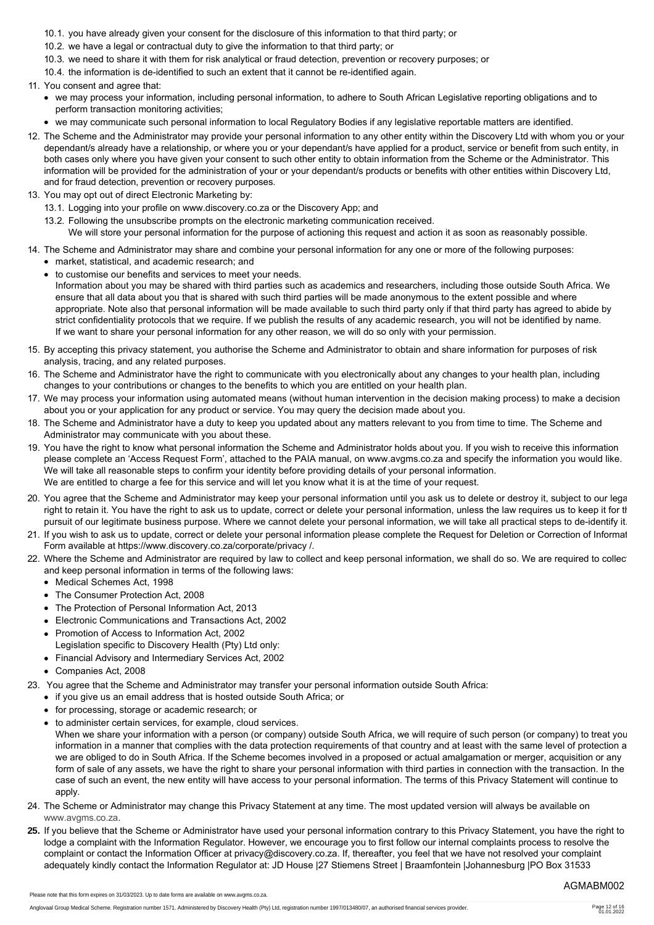- 10.1. you have already given your consent for the disclosure of this information to that third party; or
- 10.2. we have a legal or contractual duty to give the information to that third party; or
- 10.3. we need to share it with them for risk analytical or fraud detection, prevention or recovery purposes; or
- 10.4. the information is de-identified to such an extent that it cannot be re-identified again.
- 11. You consent and agree that:
	- we may process your information, including personal information, to adhere to South African Legislative reporting obligations and to perform transaction monitoring activities;
	- we may communicate such personal information to local Regulatory Bodies if any legislative reportable matters are identified.
- 12. The Scheme and the Administrator may provide your personal information to any other entity within the Discovery Ltd with whom you or your dependant/s already have a relationship, or where you or your dependant/s have applied for a product, service or benefit from such entity, in both cases only where you have given your consent to such other entity to obtain information from the Scheme or the Administrator. This information will be provided for the administration of your or your dependant/s products or benefits with other entities within Discovery Ltd, and for fraud detection, prevention or recovery purposes.
- 13. You may opt out of direct Electronic Marketing by:
	- 13.1. Logging into your profile on www.discovery.co.za or the Discovery App; and
	- 13.2. Following the unsubscribe prompts on the electronic marketing communication received.

We will store your personal information for the purpose of actioning this request and action it as soon as reasonably possible.

- 14. The Scheme and Administrator may share and combine your personal information for any one or more of the following purposes:
- market, statistical, and academic research; and to customise our benefits and services to meet your needs.
	- Information about you may be shared with third parties such as academics and researchers, including those outside South Africa. We ensure that all data about you that is shared with such third parties will be made anonymous to the extent possible and where appropriate. Note also that personal information will be made available to such third party only if that third party has agreed to abide by strict confidentiality protocols that we require. If we publish the results of any academic research, you will not be identified by name. If we want to share your personal information for any other reason, we will do so only with your permission.
- 15. By accepting this privacy statement, you authorise the Scheme and Administrator to obtain and share information for purposes of risk analysis, tracing, and any related purposes.
- 16. The Scheme and Administrator have the right to communicate with you electronically about any changes to your health plan, including changes to your contributions or changes to the benefits to which you are entitled on your health plan.
- 17. We may process your information using automated means (without human intervention in the decision making process) to make a decision about you or your application for any product or service. You may query the decision made about you.
- 18. The Scheme and Administrator have a duty to keep you updated about any matters relevant to you from time to time. The Scheme and Administrator may communicate with you about these.
- 19. You have the right to know what personal information the Scheme and Administrator holds about you. If you wish to receive this information please complete an 'Access Request Form', attached to the PAIA manual, on www.avgms.co.za and specify the information you would like. We will take all reasonable steps to confirm your identity before providing details of your personal information. We are entitled to charge a fee for this service and will let you know what it is at the time of your request.
- 20. You agree that the Scheme and Administrator may keep your personal information until you ask us to delete or destroy it, subject to our legal right to retain it. You have the right to ask us to update, correct or delete your personal information, unless the law requires us to keep it for the pursuit of our legitimate business purpose. Where we cannot delete your personal information, we will take all practical steps to de-identify it.
- 21. If you wish to ask us to update, correct or delete your personal information please complete the Request for Deletion or Correction of Informat Form available at https://www.discovery.co.za/corporate/privacy /.
- 22. Where the Scheme and Administrator are required by law to collect and keep personal information, we shall do so. We are required to collection and keep personal information in terms of the following laws:
	- Medical Schemes Act, 1998
	- The Consumer Protection Act, 2008
	- The Protection of Personal Information Act, 2013
	- Electronic Communications and Transactions Act, 2002
	- Promotion of Access to Information Act, 2002 Legislation specific to Discovery Health (Pty) Ltd only:
	- Financial Advisory and Intermediary Services Act, 2002
	- Companies Act, 2008
- 23. You agree that the Scheme and Administrator may transfer your personal information outside South Africa:
	- if you give us an email address that is hosted outside South Africa; or
	- for processing, storage or academic research; or
	- to administer certain services, for example, cloud services. When we share your information with a person (or company) outside South Africa, we will require of such person (or company) to treat your information in a manner that complies with the data protection requirements of that country and at least with the same level of protection as we are obliged to do in South Africa. If the Scheme becomes involved in a proposed or actual amalgamation or merger, acquisition or any form of sale of any assets, we have the right to share your personal information with third parties in connection with the transaction. In the case of such an event, the new entity will have access to your personal information. The terms of this Privacy Statement will continue to apply.
- 24. The Scheme or Administrator may change this Privacy Statement at any time. The most updated version will always be available on [www.avgms.co.za](http://www.avgms.co.za).
- **25.** If you believe that the Scheme or Administrator have used your personal information contrary to this Privacy Statement, you have the right to lodge a complaint with the Information Regulator. However, we encourage you to first follow our internal complaints process to resolve the complaint or contact the Information Officer at privacy@discovery.co.za. If, thereafter, you feel that we have not resolved your complaint adequately kindly contact the Information Regulator at: JD House |27 Stiemens Street | Braamfontein |Johannesburg |PO Box 31533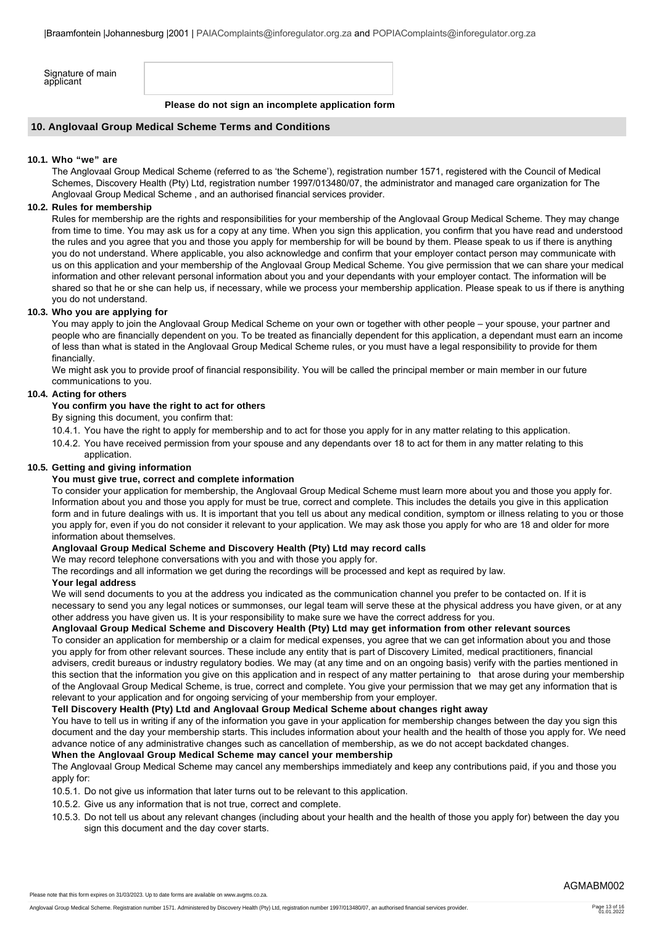| Signature of main<br>applicant |  |
|--------------------------------|--|
|--------------------------------|--|

**Please do not sign an incomplete application form**

#### **10. Anglovaal Group Medical Scheme Terms and Conditions**

#### **10.1. Who "we" are**

The Anglovaal Group Medical Scheme (referred to as 'the Scheme'), registration number 1571, registered with the Council of Medical Schemes, Discovery Health (Pty) Ltd, registration number 1997/013480/07, the administrator and managed care organization for The Anglovaal Group Medical Scheme , and an authorised financial services provider.

## **10.2. Rules for membership**

Rules for membership are the rights and responsibilities for your membership of the Anglovaal Group Medical Scheme. They may change from time to time. You may ask us for a copy at any time. When you sign this application, you confirm that you have read and understood the rules and you agree that you and those you apply for membership for will be bound by them. Please speak to us if there is anything you do not understand. Where applicable, you also acknowledge and confirm that your employer contact person may communicate with us on this application and your membership of the Anglovaal Group Medical Scheme. You give permission that we can share your medical information and other relevant personal information about you and your dependants with your employer contact. The information will be shared so that he or she can help us, if necessary, while we process your membership application. Please speak to us if there is anything you do not understand.

### **10.3. Who you are applying for**

You may apply to join the Anglovaal Group Medical Scheme on your own or together with other people – your spouse, your partner and people who are financially dependent on you. To be treated as financially dependent for this application, a dependant must earn an income of less than what is stated in the Anglovaal Group Medical Scheme rules, or you must have a legal responsibility to provide for them financially.

We might ask you to provide proof of financial responsibility. You will be called the principal member or main member in our future communications to you.

### **10.4. Acting for others**

## **You confirm you have the right to act for others**

By signing this document, you confirm that:

- 10.4.1. You have the right to apply for membership and to act for those you apply for in any matter relating to this application.
- 10.4.2. You have received permission from your spouse and any dependants over 18 to act for them in any matter relating to this application.

### **10.5. Getting and giving information**

### **You must give true, correct and complete information**

To consider your application for membership, the Anglovaal Group Medical Scheme must learn more about you and those you apply for. Information about you and those you apply for must be true, correct and complete. This includes the details you give in this application form and in future dealings with us. It is important that you tell us about any medical condition, symptom or illness relating to you or those you apply for, even if you do not consider it relevant to your application. We may ask those you apply for who are 18 and older for more information about themselves.

## **Anglovaal Group Medical Scheme and Discovery Health (Pty) Ltd may record calls**

We may record telephone conversations with you and with those you apply for.

The recordings and all information we get during the recordings will be processed and kept as required by law.

#### **Your legal address**

We will send documents to you at the address you indicated as the communication channel you prefer to be contacted on. If it is necessary to send you any legal notices or summonses, our legal team will serve these at the physical address you have given, or at any other address you have given us. It is your responsibility to make sure we have the correct address for you.

### **Anglovaal Group Medical Scheme and Discovery Health (Pty) Ltd may get information from other relevant sources**

To consider an application for membership or a claim for medical expenses, you agree that we can get information about you and those you apply for from other relevant sources. These include any entity that is part of Discovery Limited, medical practitioners, financial advisers, credit bureaus or industry regulatory bodies. We may (at any time and on an ongoing basis) verify with the parties mentioned in this section that the information you give on this application and in respect of any matter pertaining to that arose during your membership of the Anglovaal Group Medical Scheme, is true, correct and complete. You give your permission that we may get any information that is relevant to your application and for ongoing servicing of your membership from your employer.

#### **Tell Discovery Health (Pty) Ltd and Anglovaal Group Medical Scheme about changes right away**

You have to tell us in writing if any of the information you gave in your application for membership changes between the day you sign this document and the day your membership starts. This includes information about your health and the health of those you apply for. We need advance notice of any administrative changes such as cancellation of membership, as we do not accept backdated changes.

#### **When the Anglovaal Group Medical Scheme may cancel your membership**

The Anglovaal Group Medical Scheme may cancel any memberships immediately and keep any contributions paid, if you and those you apply for:

- 10.5.1. Do not give us information that later turns out to be relevant to this application.
- 10.5.2. Give us any information that is not true, correct and complete.
- 10.5.3. Do not tell us about any relevant changes (including about your health and the health of those you apply for) between the day you sign this document and the day cover starts.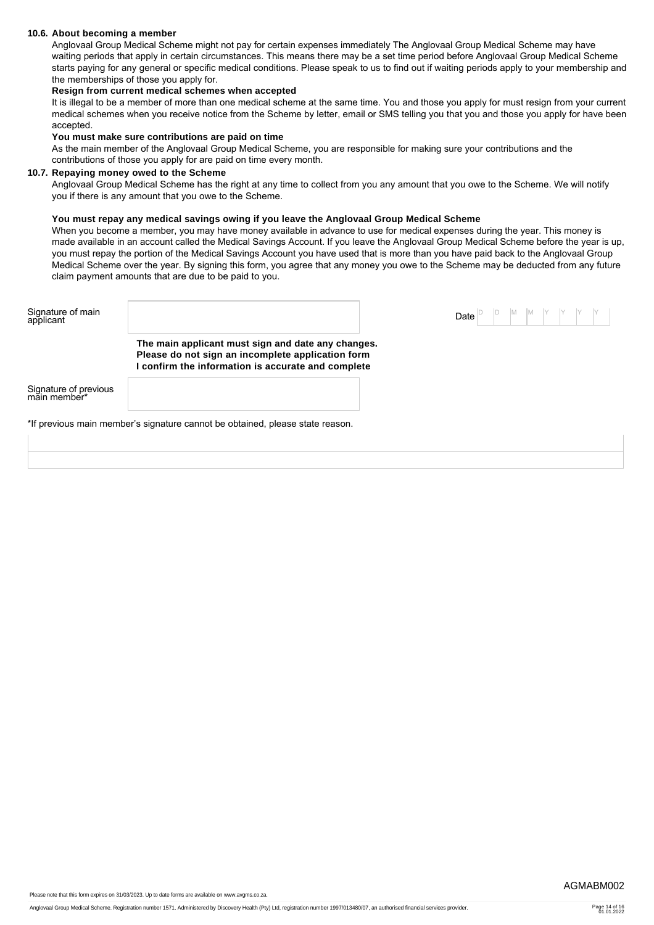#### **10.6. About becoming a member**

Anglovaal Group Medical Scheme might not pay for certain expenses immediately The Anglovaal Group Medical Scheme may have waiting periods that apply in certain circumstances. This means there may be a set time period before Anglovaal Group Medical Scheme starts paying for any general or specific medical conditions. Please speak to us to find out if waiting periods apply to your membership and the memberships of those you apply for.

## **Resign from current medical schemes when accepted**

It is illegal to be a member of more than one medical scheme at the same time. You and those you apply for must resign from your current medical schemes when you receive notice from the Scheme by letter, email or SMS telling you that you and those you apply for have been accepted.

#### **You must make sure contributions are paid on time**

As the main member of the Anglovaal Group Medical Scheme, you are responsible for making sure your contributions and the contributions of those you apply for are paid on time every month.

#### **10.7. Repaying money owed to the Scheme**

Anglovaal Group Medical Scheme has the right at any time to collect from you any amount that you owe to the Scheme. We will notify you if there is any amount that you owe to the Scheme.

#### **You must repay any medical savings owing if you leave the Anglovaal Group Medical Scheme**

When you become a member, you may have money available in advance to use for medical expenses during the year. This money is made available in an account called the Medical Savings Account. If you leave the Anglovaal Group Medical Scheme before the year is up, you must repay the portion of the Medical Savings Account you have used that is more than you have paid back to the Anglovaal Group Medical Scheme over the year. By signing this form, you agree that any money you owe to the Scheme may be deducted from any future claim payment amounts that are due to be paid to you.

| Signature of main<br>applicant        |                                                                                                                                                             | Date |  |  |
|---------------------------------------|-------------------------------------------------------------------------------------------------------------------------------------------------------------|------|--|--|
|                                       | The main applicant must sign and date any changes.<br>Please do not sign an incomplete application form<br>confirm the information is accurate and complete |      |  |  |
| Signature of previous<br>main member* |                                                                                                                                                             |      |  |  |
|                                       | *If previous main member's signature cannot be obtained, please state reason.                                                                               |      |  |  |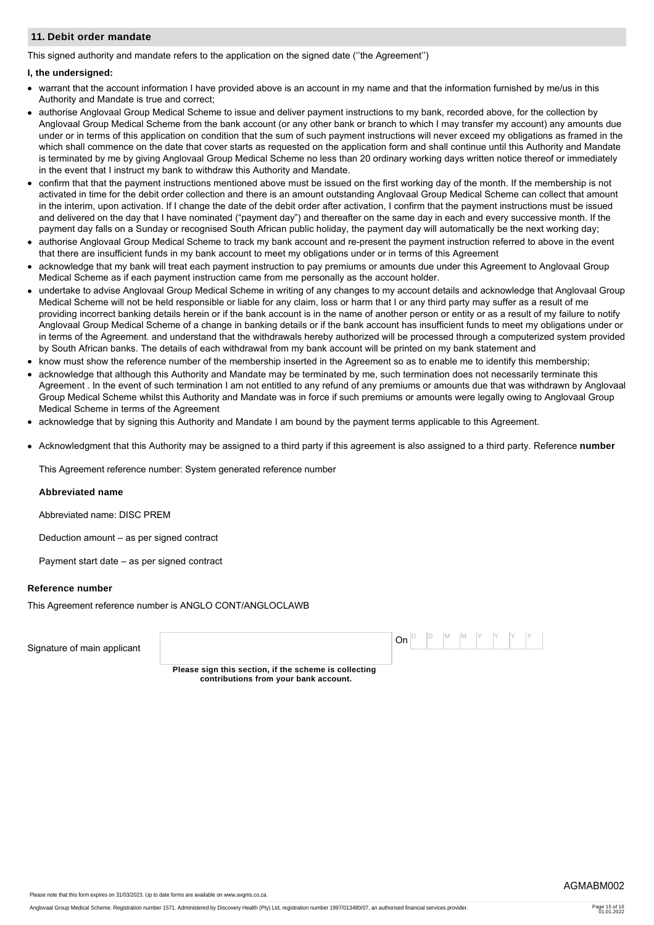#### **11. Debit order mandate**

This signed authority and mandate refers to the application on the signed date (''the Agreement'')

#### **I, the undersigned:**

- warrant that the account information I have provided above is an account in my name and that the information furnished by me/us in this Authority and Mandate is true and correct;
- authorise Anglovaal Group Medical Scheme to issue and deliver payment instructions to my bank, recorded above, for the collection by Anglovaal Group Medical Scheme from the bank account (or any other bank or branch to which I may transfer my account) any amounts due under or in terms of this application on condition that the sum of such payment instructions will never exceed my obligations as framed in the which shall commence on the date that cover starts as requested on the application form and shall continue until this Authority and Mandate is terminated by me by giving Anglovaal Group Medical Scheme no less than 20 ordinary working days written notice thereof or immediately in the event that I instruct my bank to withdraw this Authority and Mandate.
- confirm that that the payment instructions mentioned above must be issued on the first working day of the month. If the membership is not activated in time for the debit order collection and there is an amount outstanding Anglovaal Group Medical Scheme can collect that amount in the interim, upon activation. If I change the date of the debit order after activation, I confirm that the payment instructions must be issued and delivered on the day that I have nominated ("payment day") and thereafter on the same day in each and every successive month. If the payment day falls on a Sunday or recognised South African public holiday, the payment day will automatically be the next working day;
- authorise Anglovaal Group Medical Scheme to track my bank account and re-present the payment instruction referred to above in the event that there are insufficient funds in my bank account to meet my obligations under or in terms of this Agreement
- acknowledge that my bank will treat each payment instruction to pay premiums or amounts due under this Agreement to Anglovaal Group Medical Scheme as if each payment instruction came from me personally as the account holder.
- undertake to advise Anglovaal Group Medical Scheme in writing of any changes to my account details and acknowledge that Anglovaal Group Medical Scheme will not be held responsible or liable for any claim, loss or harm that I or any third party may suffer as a result of me providing incorrect banking details herein or if the bank account is in the name of another person or entity or as a result of my failure to notify Anglovaal Group Medical Scheme of a change in banking details or if the bank account has insufficient funds to meet my obligations under or in terms of the Agreement. and understand that the withdrawals hereby authorized will be processed through a computerized system provided by South African banks. The details of each withdrawal from my bank account will be printed on my bank statement and
- know must show the reference number of the membership inserted in the Agreement so as to enable me to identify this membership;
- acknowledge that although this Authority and Mandate may be terminated by me, such termination does not necessarily terminate this Agreement . In the event of such termination I am not entitled to any refund of any premiums or amounts due that was withdrawn by Anglovaal Group Medical Scheme whilst this Authority and Mandate was in force if such premiums or amounts were legally owing to Anglovaal Group Medical Scheme in terms of the Agreement
- acknowledge that by signing this Authority and Mandate I am bound by the payment terms applicable to this Agreement.
- Acknowledgment that this Authority may be assigned to a third party if this agreement is also assigned to a third party. Reference **number**

This Agreement reference number: System generated reference number

#### **Abbreviated name**

Abbreviated name: DISC PREM

Deduction amount – as per signed contract

Payment start date – as per signed contract

#### **Reference number**

This Agreement reference number is ANGLO CONT/ANGLOCLAWB

| Signature of main applicant |                                                                                                | $ On ^{D}$ $ ^{D}$ $ M$ $ M$ $ ^{Y}$ $ ^{Y}$ $ ^{Y}$ $ ^{Y}$ |  |  |  |  |  |
|-----------------------------|------------------------------------------------------------------------------------------------|--------------------------------------------------------------|--|--|--|--|--|
|                             | Please sign this section, if the scheme is collecting<br>contributions from your bank account. |                                                              |  |  |  |  |  |